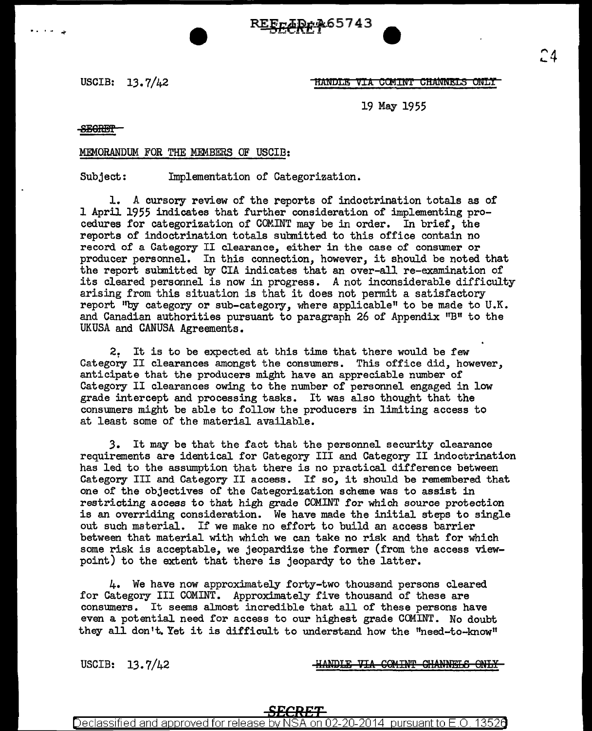R<u>EF<sub>F</sub>ÆD</u>¢ 265743

USCIB: 13.7/42 **MANULE TRANDLE TRANSPORT ONLY** 

19 May 1955

SECRET

.<br>. . . *.* 

## MEMORANDUM FOR THE MEMBERS OF USCIB:

Subject: Implementation of Categorization.

1. A cursory review of the reports of indoctrination totals as of 1 April 1955 indicates that further consideration of implementing procedures for categorization of COM.INT may be in order. In brief, the reports of indoctrination totals submitted to this office contain no record of a Category II clearance, either in the case of consumer or producer personnel. In this connection, however, it should be noted that the report submitted by CIA indicates that an over-all re-examination of its cleared personnel is now in progress. A not inconsiderable difficulty arising from this situation is that it does not permit a satisfactory report "by category or sub-category, where applicable" to be made to U.K. and Canadian authorities pursuant to paragraph 26 of Appendix "B" to the UKUSA and CANUSA Agreements.

2. It is to be expected at this time that there would be few Category II clearances amongst the consumers. This office did, however, anticipate that the producers might have an appreciable number of Category II clearances owing to the number of personnel engaged in low grade intercept and processing tasks. It was also thought that the consumers might be able to follow the producers in limiting access to at least some of the material available.

3. It may be that the fact that the personnel security clearance requirements are identical for Category III and Category II indoctrination has led to the assumption that there is no practical difference between Category III and Category II access. If so, it should be remembered that one of the objectives of the Categorization scheme was to assist in restricting access to that high grade COMINT for which source protection is an overriding consideration. We have made the initial steps to single out such material. If we make no effort to build an access barrier between that material with which we can take no risk and that for which some risk is acceptable, we jeopardize the former (from the access viewpoint) to the extent that there is jeopardy to the latter.

4. We have now approximately forty-two thousand persons cleared for Category III COMINT. Approximately five thousand of these are consumers. It seems almost incredible that all of these persons have even a potential need for access to our highest grade COMINT. No doubt they all don't. Yet it is difficult to understand how the "need-to-know"

USCIB: 13.7/42

HANDLE VIA COMINT CHANNELS ONLY

Declassified and approved for release by NSA on 02-20-2014 pursuant to E.O. 13526